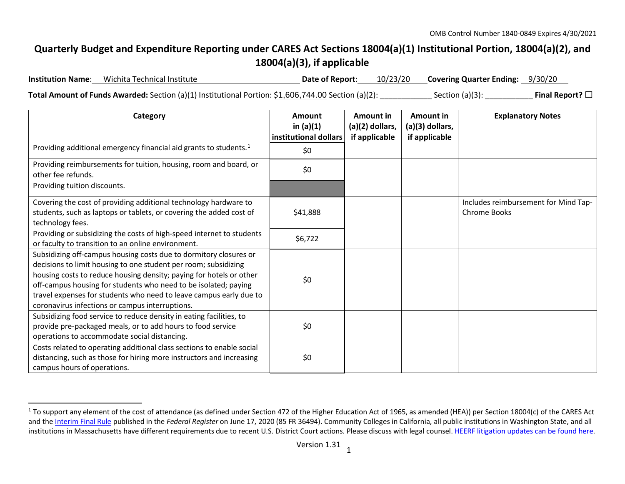## <span id="page-0-0"></span>**Quarterly Budget and Expenditure Reporting under CARES Act Sections 18004(a)(1) Institutional Portion, 18004(a)(2), and 18004(a)(3), if applicable**

**Institution Name**: Wichita Technical Institute **Date of Report**: 10/23/20 **Covering Quarter Ending:** 9/30/20

**Total Amount of Funds Awarded:** Section (a)(1) Institutional Portion: \$1,606,744.00 Section (a)(2): Section (a)(3): **Final Report?** □

| Category                                                                                                                                                                                                                                                                                                                                                                                                | Amount<br>in $(a)(1)$ | Amount in<br>(a)(2) dollars, | Amount in<br>(a)(3) dollars, | <b>Explanatory Notes</b>                             |
|---------------------------------------------------------------------------------------------------------------------------------------------------------------------------------------------------------------------------------------------------------------------------------------------------------------------------------------------------------------------------------------------------------|-----------------------|------------------------------|------------------------------|------------------------------------------------------|
|                                                                                                                                                                                                                                                                                                                                                                                                         | institutional dollars | if applicable                | if applicable                |                                                      |
| Providing additional emergency financial aid grants to students. <sup>1</sup>                                                                                                                                                                                                                                                                                                                           | \$0                   |                              |                              |                                                      |
| Providing reimbursements for tuition, housing, room and board, or<br>other fee refunds.                                                                                                                                                                                                                                                                                                                 | \$0                   |                              |                              |                                                      |
| Providing tuition discounts.                                                                                                                                                                                                                                                                                                                                                                            |                       |                              |                              |                                                      |
| Covering the cost of providing additional technology hardware to<br>students, such as laptops or tablets, or covering the added cost of<br>technology fees.                                                                                                                                                                                                                                             | \$41,888              |                              |                              | Includes reimbursement for Mind Tap-<br>Chrome Books |
| Providing or subsidizing the costs of high-speed internet to students<br>or faculty to transition to an online environment.                                                                                                                                                                                                                                                                             | \$6,722               |                              |                              |                                                      |
| Subsidizing off-campus housing costs due to dormitory closures or<br>decisions to limit housing to one student per room; subsidizing<br>housing costs to reduce housing density; paying for hotels or other<br>off-campus housing for students who need to be isolated; paying<br>travel expenses for students who need to leave campus early due to<br>coronavirus infections or campus interruptions. | \$0                   |                              |                              |                                                      |
| Subsidizing food service to reduce density in eating facilities, to<br>provide pre-packaged meals, or to add hours to food service<br>operations to accommodate social distancing.                                                                                                                                                                                                                      | \$0                   |                              |                              |                                                      |
| Costs related to operating additional class sections to enable social<br>distancing, such as those for hiring more instructors and increasing<br>campus hours of operations.                                                                                                                                                                                                                            | \$0                   |                              |                              |                                                      |

<sup>&</sup>lt;sup>1</sup> To support any element of the cost of attendance (as defined under Section 472 of the Higher Education Act of 1965, as amended (HEA)) per Section 18004(c) of the CARES Act and th[e Interim Final Rule](https://www.federalregister.gov/documents/2020/06/17/2020-12965/eligibility-of-students-at-institutions-of-higher-education-for-funds-under-the-coronavirus-aid) published in the *Federal Register* on June 17, 2020 (85 FR 36494). Community Colleges in California, all public institutions in Washington State, and all institutions in Massachusetts have different requirements due to recent U.S. District Court actions. Please discuss with legal counsel. [HEERF litigation updates can be found here.](https://www2.ed.gov/about/offices/list/ope/heerfupdates.html)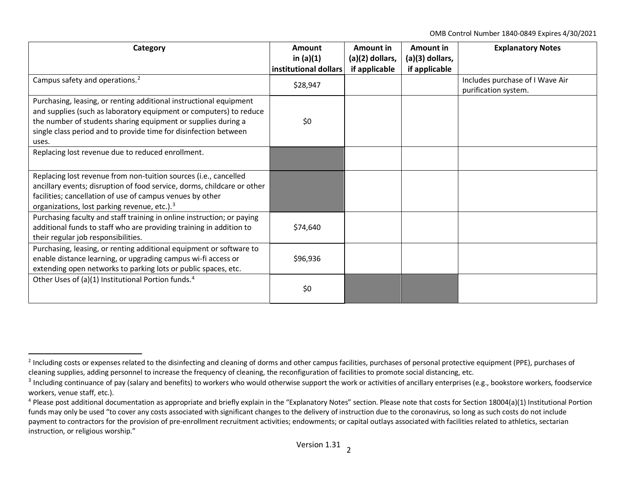<span id="page-1-2"></span><span id="page-1-1"></span><span id="page-1-0"></span>OMB Control Number 1840-0849 Expires 4/30/2021

| Category                                                                                                                                                                                                                                                                               | Amount<br>in $(a)(1)$ | Amount in<br>(a)(2) dollars, | Amount in<br>(a)(3) dollars, | <b>Explanatory Notes</b>                                |
|----------------------------------------------------------------------------------------------------------------------------------------------------------------------------------------------------------------------------------------------------------------------------------------|-----------------------|------------------------------|------------------------------|---------------------------------------------------------|
|                                                                                                                                                                                                                                                                                        | institutional dollars | if applicable                | if applicable                |                                                         |
| Campus safety and operations. <sup>2</sup>                                                                                                                                                                                                                                             | \$28,947              |                              |                              | Includes purchase of I Wave Air<br>purification system. |
| Purchasing, leasing, or renting additional instructional equipment<br>and supplies (such as laboratory equipment or computers) to reduce<br>the number of students sharing equipment or supplies during a<br>single class period and to provide time for disinfection between<br>uses. | \$0                   |                              |                              |                                                         |
| Replacing lost revenue due to reduced enrollment.                                                                                                                                                                                                                                      |                       |                              |                              |                                                         |
| Replacing lost revenue from non-tuition sources (i.e., cancelled<br>ancillary events; disruption of food service, dorms, childcare or other<br>facilities; cancellation of use of campus venues by other<br>organizations, lost parking revenue, etc.). <sup>3</sup>                   |                       |                              |                              |                                                         |
| Purchasing faculty and staff training in online instruction; or paying<br>additional funds to staff who are providing training in addition to<br>their regular job responsibilities.                                                                                                   | \$74,640              |                              |                              |                                                         |
| Purchasing, leasing, or renting additional equipment or software to<br>enable distance learning, or upgrading campus wi-fi access or<br>extending open networks to parking lots or public spaces, etc.                                                                                 | \$96,936              |                              |                              |                                                         |
| Other Uses of (a)(1) Institutional Portion funds. <sup>4</sup>                                                                                                                                                                                                                         | \$0                   |                              |                              |                                                         |

<sup>&</sup>lt;sup>2</sup> Including costs or expenses related to the disinfecting and cleaning of dorms and other campus facilities, purchases of personal protective equipment (PPE), purchases of cleaning supplies, adding personnel to increase the frequency of cleaning, the reconfiguration of facilities to promote social distancing, etc.

<sup>&</sup>lt;sup>3</sup> Including continuance of pay (salary and benefits) to workers who would otherwise support the work or activities of ancillary enterprises (e.g., bookstore workers, foodservice workers, venue staff, etc.).

 $4$  Please post additional documentation as appropriate and briefly explain in the "Explanatory Notes" section. Please note that costs for Section 18004(a)(1) Institutional Portion funds may only be used "to cover any costs associated with significant changes to the delivery of instruction due to the coronavirus, so long as such costs do not include payment to contractors for the provision of pre-enrollment recruitment activities; endowments; or capital outlays associated with facilities related to athletics, sectarian instruction, or religious worship."